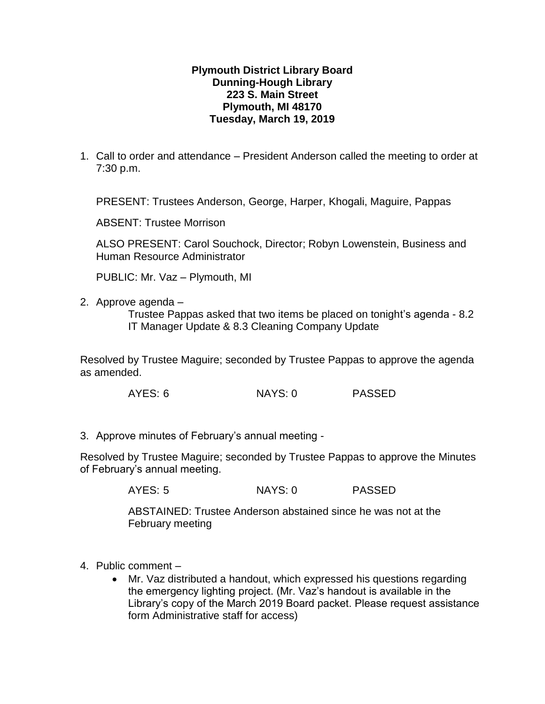## **Plymouth District Library Board Dunning-Hough Library 223 S. Main Street Plymouth, MI 48170 Tuesday, March 19, 2019**

1. Call to order and attendance – President Anderson called the meeting to order at 7:30 p.m.

PRESENT: Trustees Anderson, George, Harper, Khogali, Maguire, Pappas

ABSENT: Trustee Morrison

ALSO PRESENT: Carol Souchock, Director; Robyn Lowenstein, Business and Human Resource Administrator

PUBLIC: Mr. Vaz – Plymouth, MI

2. Approve agenda –

Trustee Pappas asked that two items be placed on tonight's agenda - 8.2 IT Manager Update & 8.3 Cleaning Company Update

Resolved by Trustee Maguire; seconded by Trustee Pappas to approve the agenda as amended.

AYES: 6 NAYS: 0 PASSED

3. Approve minutes of February's annual meeting -

Resolved by Trustee Maguire; seconded by Trustee Pappas to approve the Minutes of February's annual meeting.

AYES: 5 NAYS: 0 PASSED

ABSTAINED: Trustee Anderson abstained since he was not at the February meeting

- 4. Public comment
	- Mr. Vaz distributed a handout, which expressed his questions regarding the emergency lighting project. (Mr. Vaz's handout is available in the Library's copy of the March 2019 Board packet. Please request assistance form Administrative staff for access)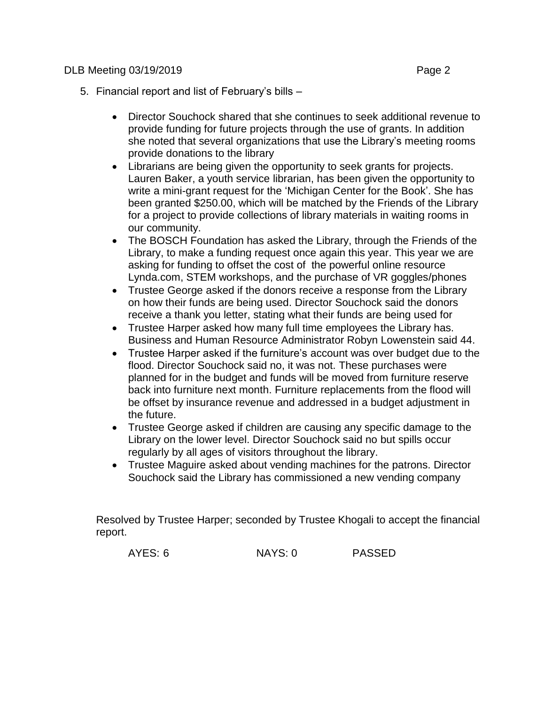- 5. Financial report and list of February's bills
	- Director Souchock shared that she continues to seek additional revenue to provide funding for future projects through the use of grants. In addition she noted that several organizations that use the Library's meeting rooms provide donations to the library
	- Librarians are being given the opportunity to seek grants for projects. Lauren Baker, a youth service librarian, has been given the opportunity to write a mini-grant request for the 'Michigan Center for the Book'. She has been granted \$250.00, which will be matched by the Friends of the Library for a project to provide collections of library materials in waiting rooms in our community.
	- The BOSCH Foundation has asked the Library, through the Friends of the Library, to make a funding request once again this year. This year we are asking for funding to offset the cost of the powerful online resource Lynda.com, STEM workshops, and the purchase of VR goggles/phones
	- Trustee George asked if the donors receive a response from the Library on how their funds are being used. Director Souchock said the donors receive a thank you letter, stating what their funds are being used for
	- Trustee Harper asked how many full time employees the Library has. Business and Human Resource Administrator Robyn Lowenstein said 44.
	- Trustee Harper asked if the furniture's account was over budget due to the flood. Director Souchock said no, it was not. These purchases were planned for in the budget and funds will be moved from furniture reserve back into furniture next month. Furniture replacements from the flood will be offset by insurance revenue and addressed in a budget adjustment in the future.
	- Trustee George asked if children are causing any specific damage to the Library on the lower level. Director Souchock said no but spills occur regularly by all ages of visitors throughout the library.
	- Trustee Maguire asked about vending machines for the patrons. Director Souchock said the Library has commissioned a new vending company

Resolved by Trustee Harper; seconded by Trustee Khogali to accept the financial report.

| AYES: 6 | NAYS: 0 | <b>PASSED</b> |
|---------|---------|---------------|
|         |         |               |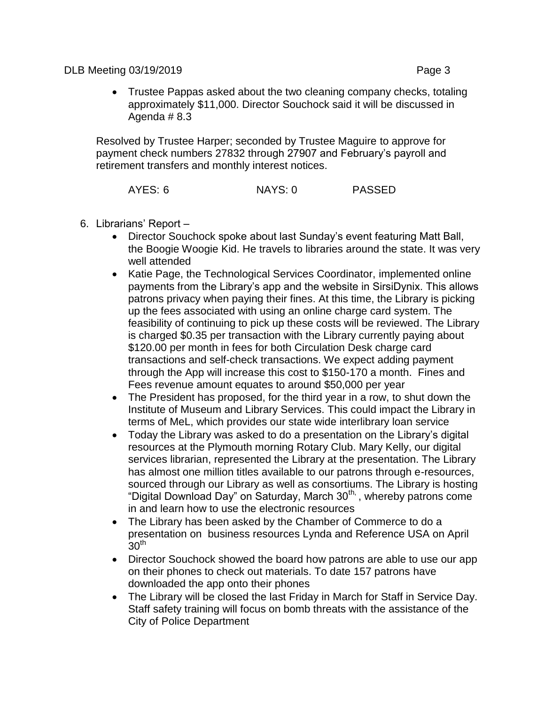Trustee Pappas asked about the two cleaning company checks, totaling approximately \$11,000. Director Souchock said it will be discussed in Agenda # 8.3

Resolved by Trustee Harper; seconded by Trustee Maguire to approve for payment check numbers 27832 through 27907 and February's payroll and retirement transfers and monthly interest notices.

AYES: 6 NAYS: 0 PASSED

- 6. Librarians' Report
	- Director Souchock spoke about last Sunday's event featuring Matt Ball, the Boogie Woogie Kid. He travels to libraries around the state. It was very well attended
	- Katie Page, the Technological Services Coordinator, implemented online payments from the Library's app and the website in SirsiDynix. This allows patrons privacy when paying their fines. At this time, the Library is picking up the fees associated with using an online charge card system. The feasibility of continuing to pick up these costs will be reviewed. The Library is charged \$0.35 per transaction with the Library currently paying about \$120.00 per month in fees for both Circulation Desk charge card transactions and self-check transactions. We expect adding payment through the App will increase this cost to \$150-170 a month. Fines and Fees revenue amount equates to around \$50,000 per year
	- The President has proposed, for the third year in a row, to shut down the Institute of Museum and Library Services. This could impact the Library in terms of MeL, which provides our state wide interlibrary loan service
	- Today the Library was asked to do a presentation on the Library's digital resources at the Plymouth morning Rotary Club. Mary Kelly, our digital services librarian, represented the Library at the presentation. The Library has almost one million titles available to our patrons through e-resources, sourced through our Library as well as consortiums. The Library is hosting "Digital Download Day" on Saturday, March 30<sup>th,</sup>, whereby patrons come in and learn how to use the electronic resources
	- The Library has been asked by the Chamber of Commerce to do a presentation on business resources Lynda and Reference USA on April  $30<sup>th</sup>$
	- Director Souchock showed the board how patrons are able to use our app on their phones to check out materials. To date 157 patrons have downloaded the app onto their phones
	- The Library will be closed the last Friday in March for Staff in Service Day. Staff safety training will focus on bomb threats with the assistance of the City of Police Department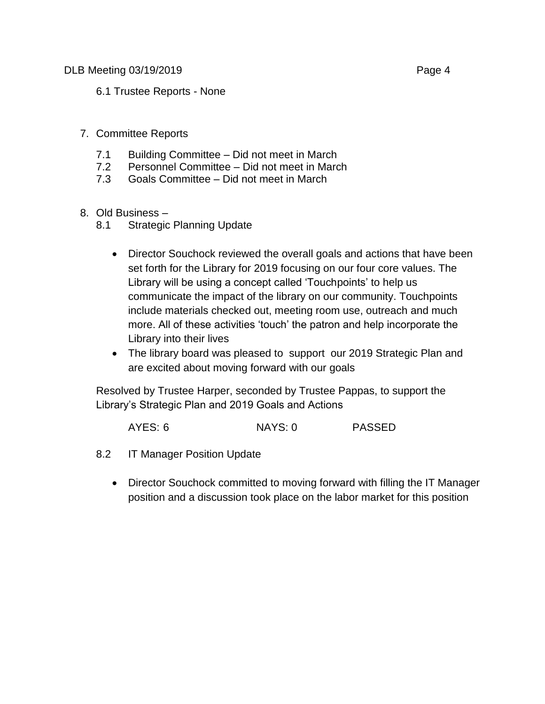6.1 Trustee Reports - None

## 7. Committee Reports

- 7.1 Building Committee Did not meet in March
- 7.2 Personnel Committee Did not meet in March
- 7.3 Goals Committee Did not meet in March
- 8. Old Business
	- 8.1 Strategic Planning Update
		- Director Souchock reviewed the overall goals and actions that have been set forth for the Library for 2019 focusing on our four core values. The Library will be using a concept called 'Touchpoints' to help us communicate the impact of the library on our community. Touchpoints include materials checked out, meeting room use, outreach and much more. All of these activities 'touch' the patron and help incorporate the Library into their lives
		- The library board was pleased to support our 2019 Strategic Plan and are excited about moving forward with our goals

Resolved by Trustee Harper, seconded by Trustee Pappas, to support the Library's Strategic Plan and 2019 Goals and Actions

AYES: 6 NAYS: 0 PASSED

- 8.2 IT Manager Position Update
	- Director Souchock committed to moving forward with filling the IT Manager position and a discussion took place on the labor market for this position